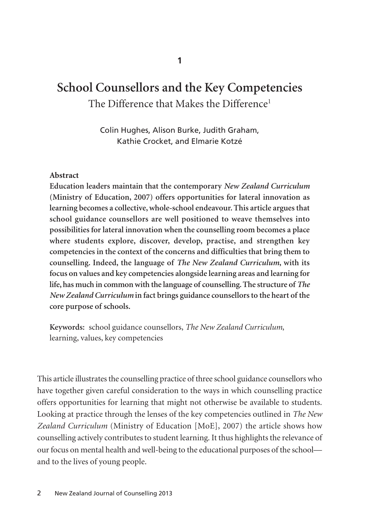# **School Counsellors and the Key Competencies**  The Difference that Makes the Difference<sup>1</sup>

Colin Hughes, Alison Burke, Judith Graham, Kathie Crocket, and Elmarie Kotzé

### **Abstract**

**Education leaders maintain that the contemporary** *New Zealand Curriculum* **(Ministry of Education, 2007) offers opportunities for lateral innovation as learning becomes a collective, whole-school endeavour. This article argues that school guidance counsellors are well positioned to weave themselves into possibilities for lateral innovation when the counselling room becomes a place where students explore, discover, develop, practise, and strengthen key competencies in the context of the concerns and difficulties that bring them to counselling. Indeed, the language of** *The New Zealand Curriculum***, with its focus on values and key competencies alongside learning areas and learning for life, has much in common with the language of counselling. The structure of** *The New Zealand Curriculum* **in fact brings guidance counsellors to the heart of the core purpose of schools.** 

**Keywords:** school guidance counsellors, *The New Zealand Curriculum*, learning, values, key competencies

This article illustrates the counselling practice of three school guidance counsellors who have together given careful consideration to the ways in which counselling practice offers opportunities for learning that might not otherwise be available to students. Looking at practice through the lenses of the key competencies outlined in *The New Zealand Curriculum* (Ministry of Education [MoE], 2007) the article shows how counselling actively contributes to student learning. It thus highlights the relevance of our focus on mental health and well-being to the educational purposes of the school and to the lives of young people.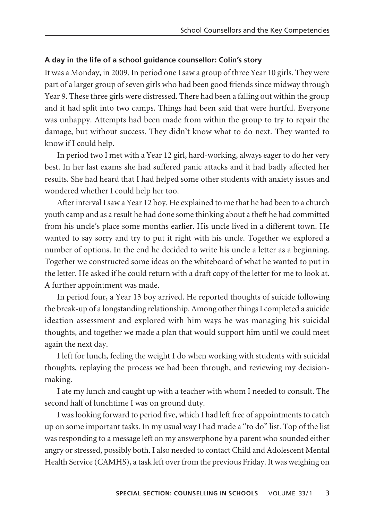### **A day in the life of a school guidance counsellor: Colin's story**

It was a Monday, in 2009. In period one I saw a group of three Year 10 girls. They were part of a larger group of seven girls who had been good friends since midway through Year 9. These three girls were distressed. There had been a falling out within the group and it had split into two camps. Things had been said that were hurtful. Everyone was unhappy. Attempts had been made from within the group to try to repair the damage, but without success. They didn't know what to do next. They wanted to know if I could help.

In period two I met with a Year 12 girl, hard-working, always eager to do her very best. In her last exams she had suffered panic attacks and it had badly affected her results. She had heard that I had helped some other students with anxiety issues and wondered whether I could help her too.

After interval I saw a Year 12 boy. He explained to me that he had been to a church youth camp and as a result he had done some thinking about a theft he had committed from his uncle's place some months earlier. His uncle lived in a different town. He wanted to say sorry and try to put it right with his uncle. Together we explored a number of options. In the end he decided to write his uncle a letter as a beginning. Together we constructed some ideas on the whiteboard of what he wanted to put in the letter. He asked if he could return with a draft copy of the letter for me to look at. A further appointment was made.

In period four, a Year 13 boy arrived. He reported thoughts of suicide following the break-up of a longstanding relationship. Among other things I completed a suicide ideation assessment and explored with him ways he was managing his suicidal thoughts, and together we made a plan that would support him until we could meet again the next day.

I left for lunch, feeling the weight I do when working with students with suicidal thoughts, replaying the process we had been through, and reviewing my decision making.

I ate my lunch and caught up with a teacher with whom I needed to consult. The second half of lunchtime I was on ground duty.

I was looking forward to period five, which I had left free of appointments to catch up on some important tasks. In my usual way I had made a "to do" list. Top of the list was responding to a message left on my answerphone by a parent who sounded either angry or stressed, possibly both. I also needed to contact Child and Adolescent Mental Health Service (CAMHS), a task left over from the previous Friday. It was weighing on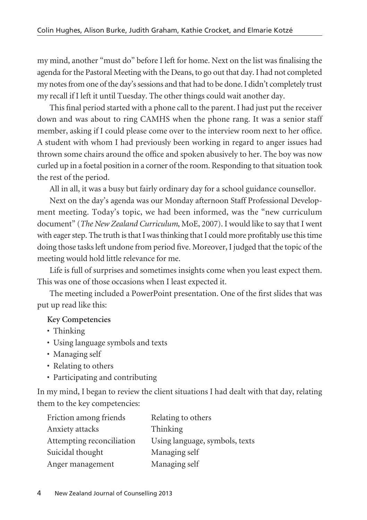my mind, another "must do" before I left for home. Next on the list was finalising the agenda for the Pastoral Meeting with the Deans, to go out that day. I had not completed my notes from one of the day's sessions and that had to be done. I didn't completely trust my recall if I left it until Tuesday. The other things could wait another day.

This final period started with a phone call to the parent. I had just put the receiver down and was about to ring CAMHS when the phone rang. It was a senior staff member, asking if I could please come over to the interview room next to her office. A student with whom I had previously been working in regard to anger issues had thrown some chairs around the office and spoken abusively to her. The boy was now curled up in a foetal position in a corner of the room. Responding to that situation took the rest of the period.

All in all, it was a busy but fairly ordinary day for a school guidance counsellor.

Next on the day's agenda was our Monday afternoon Staff Professional Develop ment meeting. Today's topic, we had been informed, was the "new curriculum document" (*The New Zealand Curriculum*, MoE, 2007). I would like to say that I went with eager step. The truth is that I was thinking that I could more profitably use this time doing those tasks left undone from period five. Moreover, I judged that the topic of the meeting would hold little relevance for me.

Life is full of surprises and sometimes insights come when you least expect them. This was one of those occasions when I least expected it.

The meeting included a PowerPoint presentation. One of the first slides that was put up read like this:

### **Key Competencies**

- Thinking
- Using language symbols and texts
- Managing self
- Relating to others
- Participating and contributing

In my mind, I began to review the client situations I had dealt with that day, relating them to the key competencies:

| Friction among friends    | Relating to others             |
|---------------------------|--------------------------------|
| Anxiety attacks           | Thinking                       |
| Attempting reconciliation | Using language, symbols, texts |
| Suicidal thought          | Managing self                  |
| Anger management          | Managing self                  |
|                           |                                |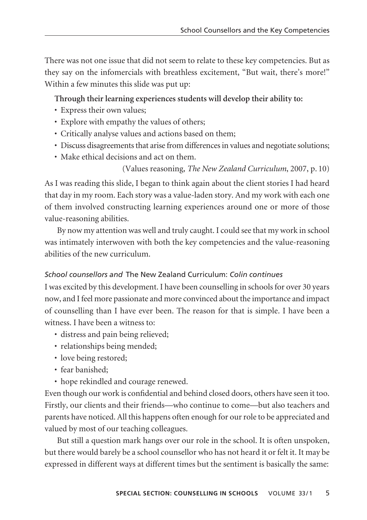There was not one issue that did not seem to relate to these key competencies. But as they say on the infomercials with breathless excitement, "But wait, there's more!" Within a few minutes this slide was put up:

**Through their learning experiences students will develop their ability to:**

- Express their own values;
- Explore with empathy the values of others;
- Critically analyse values and actions based on them;
- Discuss disagreements that arise from differences in values and negotiate solutions;
- Make ethical decisions and act on them.

(Values reasoning, *The New Zealand Curriculum*, 2007, p. 10)

As I was reading this slide, I began to think again about the client stories I had heard that day in my room. Each story was a value-laden story. And my work with each one of them involved constructing learning experiences around one or more of those value-reasoning abilities.

By now my attention was well and truly caught. I could see that my work in school was intimately interwoven with both the key competencies and the value-reasoning abilities of the new curriculum.

### *School counsellors and* The New Zealand Curriculum: *Colin continues*

I was excited by this development. I have been counselling in schools for over 30 years now, and I feel more passionate and more convinced about the importance and impact of counselling than I have ever been. The reason for that is simple. I have been a witness. I have been a witness to:

- distress and pain being relieved;
- relationships being mended;
- love being restored;
- fear banished;
- hope rekindled and courage renewed.

Even though our work is confidential and behind closed doors, others have seen it too. Firstly, our clients and their friends—who continue to come—but also teachers and parents have noticed. All this happens often enough for our role to be appreciated and valued by most of our teaching colleagues.

But still a question mark hangs over our role in the school. It is often unspoken, but there would barely be a school counsellor who has not heard it or felt it. It may be expressed in different ways at different times but the sentiment is basically the same: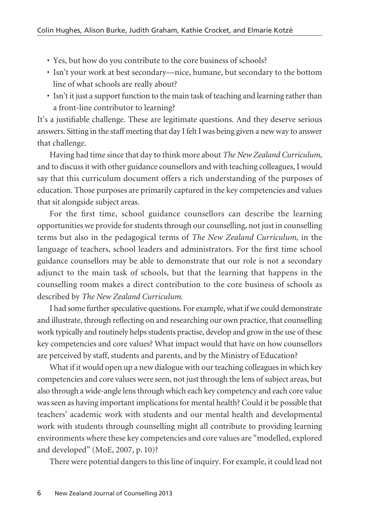- Yes, but how do you contribute to the core business of schools?
- Isn't your work at best secondary—nice, humane, but secondary to the bottom line of what schools are really about?
- Isn't it just a support function to the main task of teaching and learning rather than a front-line contributor to learning?

It's a justifiable challenge. These are legitimate questions. And they deserve serious answers. Sitting in the staff meeting that day I felt I was being given a new way to answer that challenge.

Having had time since that day to think more about *The New Zealand Curriculum*, and to discuss it with other guidance counsellors and with teaching colleagues, I would say that this curriculum document offers a rich understanding of the purposes of education. Those purposes are primarily captured in the key competencies and values that sit alongside subject areas.

For the first time, school guidance counsellors can describe the learning opportunities we provide for students through our counselling, not just in counselling terms but also in the pedagogical terms of *The New Zealand Curriculum*, in the language of teachers, school leaders and administrators. For the first time school guidance counsellors may be able to demonstrate that our role is not a secondary adjunct to the main task of schools, but that the learning that happens in the counselling room makes a direct contribution to the core business of schools as described by *The New Zealand Curriculum*.

I had some further speculative questions. For example, what if we could demon strate and illustrate, through reflecting on and researching our own practice, that counselling work typically and routinely helps students practise, develop and grow in the use of these key competencies and core values? What impact would that have on how counsellors are perceived by staff, students and parents, and by the Ministry of Education?

What if it would open up a new dialogue with our teaching colleagues in which key competencies and core values were seen, not just through the lens of subject areas, but also through a wide-angle lens through which each key competency and each core value was seen as having important implications for mental health? Could it be possible that teachers' academic work with students and our mental health and developmental work with students through counselling might all contribute to providing learning environments where these key competencies and core values are "modelled, explored and developed" (MoE, 2007, p. 10)?

There were potential dangers to this line of inquiry. For example, it could lead not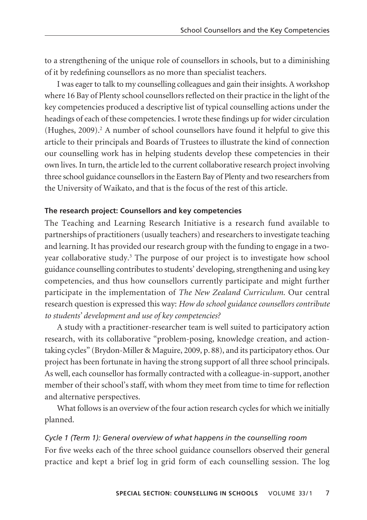to a strengthening of the unique role of counsellors in schools, but to a diminishing of it by redefining counsellors as no more than specialist teachers.

I was eager to talk to my counselling colleagues and gain their insights. A workshop where 16 Bay of Plenty school counsellors reflected on their practice in the light of the key competencies produced a descriptive list of typical counselling actions under the headings of each of these competencies. I wrote these findings up for wider circulation (Hughes, 2009).<sup>2</sup> A number of school counsellors have found it helpful to give this article to their principals and Boards of Trustees to illustrate the kind of connection our counselling work has in helping students develop these competencies in their own lives. In turn, the article led to the current collaborative research project involving three school guidance counsellors in the Eastern Bay of Plenty and two researchers from the University of Waikato, and that is the focus of the rest of this article.

### **The research project: Counsellors and key competencies**

The Teaching and Learning Research Initiative is a research fund available to partnerships of practitioners (usually teachers) and researchers to investigate teaching and learning. It has provided our research group with the funding to engage in a twoyear collaborative study.3 The purpose of our project is to investigate how school guidance counselling contributes to students' developing, strengthening and using key competencies, and thus how counsellors currently participate and might further participate in the implementation of *The New Zealand Curriculum*. Our central research question is expressed this way: *How do school guidance counsellors contribute to students' development and use of key competencies?*

A study with a practitioner-researcher team is well suited to participatory action research, with its collaborative "problem-posing, knowledge creation, and actiontaking cycles" (Brydon-Miller & Maguire, 2009, p. 88), and its participatory ethos. Our project has been fortunate in having the strong support of all three school principals. As well, each counsellor has formally contracted with a colleague-in-support, another member of their school's staff, with whom they meet from time to time for reflection and alternative perspectives.

What follows is an overview of the four action research cycles for which we initially planned.

### *Cycle 1 (Term 1): General overview of what happens in the counselling room*

For five weeks each of the three school guidance counsellors observed their general practice and kept a brief log in grid form of each counselling session. The log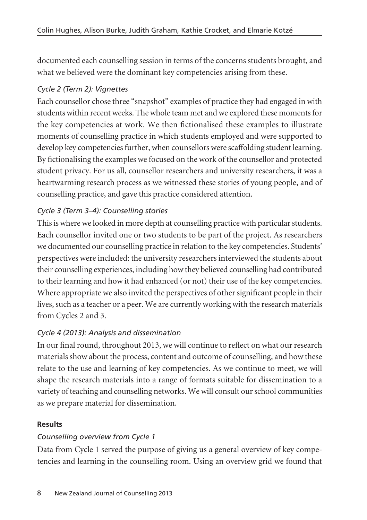documented each counselling session in terms of the concerns students brought, and what we believed were the dominant key competencies arising from these.

# *Cycle 2 (Term 2): Vignettes*

Each counsellor chose three "snapshot" examples of practice they had engaged in with students within recent weeks. The whole team met and we explored these moments for the key competencies at work. We then fictionalised these examples to illustrate moments of counselling practice in which students employed and were supported to develop key competencies further, when counsellors were scaffolding student learning. By fictionalising the examples we focused on the work of the counsellor and protected student privacy. For us all, counsellor researchers and university researchers, it was a heartwarming research process as we witnessed these stories of young people, and of counselling practice, and gave this practice considered attention.

# *Cycle 3 (Term 3–4): Counselling stories*

This is where we looked in more depth at counselling practice with particular students. Each counsellor invited one or two students to be part of the project. As researchers we documented our counselling practice in relation to the key competencies. Students' perspectives were included: the university researchers interviewed the students about their counselling experiences, including how they believed counselling had contributed to their learning and how it had enhanced (or not) their use of the key competencies. Where appropriate we also invited the perspectives of other significant people in their lives, such as a teacher or a peer. We are currently working with the research materials from Cycles 2 and 3.

# *Cycle 4 (2013): Analysis and dissemination*

In our final round, throughout 2013, we will continue to reflect on what our research materials show about the process, content and outcome of counselling, and how these relate to the use and learning of key competencies. As we continue to meet, we will shape the research materials into a range of formats suitable for dissemination to a variety of teaching and counselling networks. We will consult our school communities as we prepare material for dissemination.

## **Results**

## *Counselling overview from Cycle 1*

Data from Cycle 1 served the purpose of giving us a general overview of key competencies and learning in the counselling room. Using an overview grid we found that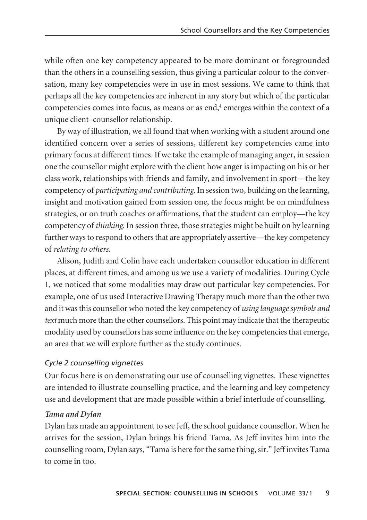while often one key competency appeared to be more dominant or foregrounded than the others in a counselling session, thus giving a particular colour to the conversation, many key competencies were in use in most sessions. We came to think that perhaps all the key competencies are inherent in any story but which of the particular competencies comes into focus, as means or as end, $4$  emerges within the context of a unique client–counsellor relationship.

By way of illustration, we all found that when working with a student around one identified concern over a series of sessions, different key competencies came into primary focus at different times. If we take the example of managing anger, in session one the counsellor might explore with the client how anger is impacting on his or her class work, relationships with friends and family, and involvement in sport—the key competency of *participating and contributing*. In session two, building on the learning, insight and motivation gained from session one, the focus might be on mindfulness strategies, or on truth coaches or affirmations, that the student can employ—the key competency of *thinking*. In session three, those strategies might be built on by learning further ways to respond to others that are appropriately assertive—the key competency of *relating to others*.

Alison, Judith and Colin have each undertaken counsellor education in different places, at different times, and among us we use a variety of modalities. During Cycle 1, we noticed that some modalities may draw out particular key competencies. For example, one of us used Interactive Drawing Therapy much more than the other two and it was this counsellor who noted the key competency of *using language symbols and text* much more than the other counsellors. This point may indicate that the therapeutic modality used by counsellors has some influence on the key competencies that emerge, an area that we will explore further as the study continues.

### *Cycle 2 counselling vignettes*

Our focus here is on demonstrating our use of counselling vignettes. These vignettes are intended to illustrate counselling practice, and the learning and key competency use and development that are made possible within a brief interlude of counselling.

### *Tama and Dylan*

Dylan has made an appointment to see Jeff, the school guidance counsellor. When he arrives for the session, Dylan brings his friend Tama. As Jeff invites him into the counselling room, Dylan says, "Tama is here for the same thing, sir." Jeff invites Tama to come in too.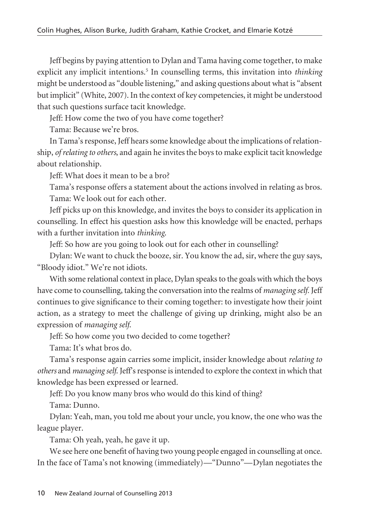Jeff begins by paying attention to Dylan and Tama having come together, to make explicit any implicit intentions.<sup>5</sup> In counselling terms, this invitation into *thinking* might be understood as "double listening," and asking questions about what is "absent but implicit" (White, 2007). In the context of key competencies, it might be understood that such questions surface tacit knowledge.

Jeff: How come the two of you have come together?

Tama: Because we're bros.

In Tama's response, Jeff hears some knowledge about the implications of relationship, *of relating to others*, and again he invites the boys to make explicit tacit knowledge about relationship.

Jeff: What does it mean to be a bro?

Tama's response offers a statement about the actions involved in relating as bros. Tama: We look out for each other.

Jeff picks up on this knowledge, and invites the boys to consider its application in counselling. In effect his question asks how this knowledge will be enacted, perhaps with a further invitation into *thinking*.

Jeff: So how are you going to look out for each other in counselling?

Dylan: We want to chuck the booze, sir. You know the ad, sir, where the guy says, "Bloody idiot." We're not idiots.

With some relational context in place, Dylan speaks to the goals with which the boys have come to counselling, taking the conversation into the realms of *managing self.* Jeff continues to give significance to their coming together: to investigate how their joint action, as a strategy to meet the challenge of giving up drinking, might also be an expression of *managing self*.

Jeff: So how come you two decided to come together?

Tama: It's what bros do.

Tama's response again carries some implicit, insider knowledge about *relating to others* and *managing self*. Jeff's response is intended to explore the context in which that knowledge has been expressed or learned.

Jeff: Do you know many bros who would do this kind of thing?

Tama: Dunno.

Dylan: Yeah, man, you told me about your uncle, you know, the one who was the league player.

Tama: Oh yeah, yeah, he gave it up.

We see here one benefit of having two young people engaged in counselling at once. In the face of Tama's not knowing (immediately)—"Dunno"—Dylan negotiates the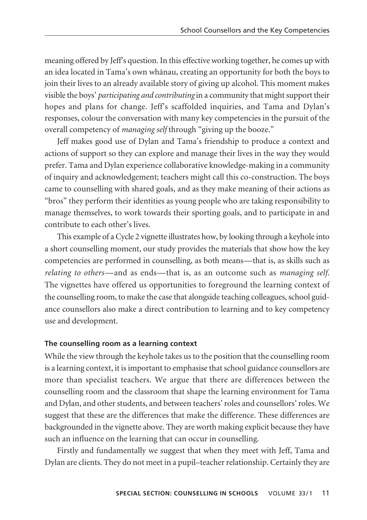meaning offered by Jeff's question. In this effective working together, he comes up with an idea located in Tama's own whänau, creating an opportunity for both the boys to join their lives to an already available story of giving up alcohol. This moment makes visible the boys' *participating and contributing* in a community that might support their hopes and plans for change. Jeff's scaffolded inquiries, and Tama and Dylan's responses, colour the conversation with many key competencies in the pursuit of the overall competency of *managing self* through "giving up the booze."

Jeff makes good use of Dylan and Tama's friendship to produce a context and actions of support so they can explore and manage their lives in the way they would prefer. Tama and Dylan experience collaborative knowledge-making in a community of inquiry and acknowledgement; teachers might call this co-construction. The boys came to counselling with shared goals, and as they make meaning of their actions as "bros" they perform their identities as young people who are taking responsibility to manage themselves, to work towards their sporting goals, and to participate in and contribute to each other's lives.

This example of a Cycle 2 vignette illustrates how, by looking through a keyhole into a short counselling moment, our study provides the materials that show how the key competencies are performed in counselling, as both means—that is, as skills such as *relating to others*—and as ends—that is, as an outcome such as *managing self*. The vignettes have offered us opportunities to foreground the learning context of the counselling room, to make the case that alongside teaching colleagues, school guidance counsellors also make a direct contribution to learning and to key competency use and development.

### **The counselling room as a learning context**

While the view through the keyhole takes us to the position that the counselling room is a learning context, it is important to emphasise that school guidance counsellors are more than specialist teachers. We argue that there are differences between the counselling room and the classroom that shape the learning environment for Tama and Dylan, and other students, and between teachers' roles and counsellors' roles. We suggest that these are the differences that make the difference. These differences are backgrounded in the vignette above. They are worth making explicit because they have such an influence on the learning that can occur in counselling.

Firstly and fundamentally we suggest that when they meet with Jeff, Tama and Dylan are clients. They do not meet in a pupil–teacher relationship. Certainly they are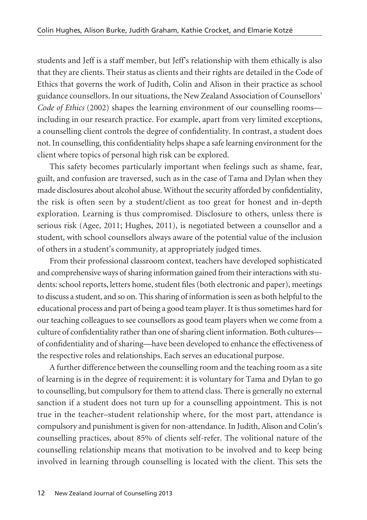students and Jeff is a staff member, but Jeff's relationship with them ethically is also that they are clients. Their status as clients and their rights are detailed in the Code of Ethics that governs the work of Judith, Colin and Alison in their practice as school guidance counsellors. In our situations, the New Zealand Association of Counsellors' *Code of Ethics* (2002) shapes the learning environment of our counselling rooms including in our research practice. For example, apart from very limited exceptions, a counselling client controls the degree of confidentiality. In contrast, a student does not. In counselling, this confidentiality helps shape a safe learning environment for the client where topics of personal high risk can be explored.

This safety becomes particularly important when feelings such as shame, fear, guilt, and confusion are traversed, such as in the case of Tama and Dylan when they made disclosures about alcohol abuse. Without the security afforded by confidentiality, the risk is often seen by a student/client as too great for honest and in-depth exploration. Learning is thus compromised. Disclosure to others, unless there is serious risk (Agee, 2011; Hughes, 2011), is negotiated between a counsellor and a student, with school counsellors always aware of the potential value of the inclusion of others in a student's community, at appropriately judged times.

From their professional classroom context, teachers have developed sophisticated and comprehensive ways of sharing information gained from their interactions with students: school reports, letters home, student files (both electronic and paper), meetings to discuss a student, and so on. This sharing of information is seen as both helpful to the educational process and part of being a good team player. It is thus sometimes hard for our teaching colleagues to see counsellors as good team players when we come from a culture of confidentiality rather than one of sharing client information. Both cultures of confidentiality and of sharing—have been developed to enhance the effectiveness of the respective roles and relationships. Each serves an educational purpose.

A further difference between the counselling room and the teaching room as a site of learning is in the degree of requirement: it is voluntary for Tama and Dylan to go to counselling, but compulsory for them to attend class. There is generally no external sanction if a student does not turn up for a counselling appointment. This is not true in the teacher–student relationship where, for the most part, attendance is compulsory and punishment is given for non-attendance. In Judith, Alison and Colin's coun selling practices, about 85% of clients self-refer. The volitional nature of the counselling relationship means that motivation to be involved and to keep being involved in learning through counselling is located with the client. This sets the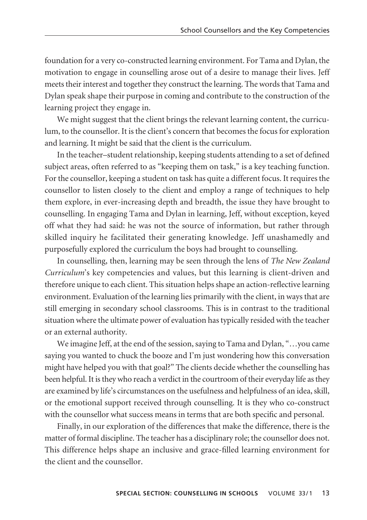foundation for a very co-constructed learning environment. For Tama and Dylan, the motivation to engage in counselling arose out of a desire to manage their lives. Jeff meets their interest and together they construct the learning. The words that Tama and Dylan speak shape their purpose in coming and contribute to the construction of the learning project they engage in.

We might suggest that the client brings the relevant learning content, the curriculum, to the counsellor. It is the client's concern that becomes the focus for exploration and learning. It might be said that the client is the curriculum.

In the teacher–student relationship, keeping students attending to a set of defined subject areas, often referred to as "keeping them on task," is a key teaching function. For the counsellor, keeping a student on task has quite a different focus. It requires the counsellor to listen closely to the client and employ a range of techniques to help them explore, in ever-increasing depth and breadth, the issue they have brought to counselling. In engaging Tama and Dylan in learning, Jeff, without exception, keyed off what they had said: he was not the source of information, but rather through skilled inquiry he facilitated their generating knowledge. Jeff unashamedly and purposefully explored the curriculum the boys had brought to counselling.

In counselling, then, learning may be seen through the lens of *The New Zealand Curriculum*'s key competencies and values, but this learning is client-driven and therefore unique to each client. This situation helps shape an action-reflective learning environment. Evaluation of the learning lies primarily with the client, in ways that are still emerging in secondary school classrooms. This is in contrast to the traditional situation where the ultimate power of evaluation has typically resided with the teacher or an external authority.

We imagine Jeff, at the end of the session, saying to Tama and Dylan, "…you came saying you wanted to chuck the booze and I'm just wondering how this conversation might have helped you with that goal?" The clients decide whether the counselling has been helpful. It is they who reach a verdict in the courtroom of their everyday life as they are examined by life's circumstances on the usefulness and helpfulness of an idea, skill, or the emotional support received through counselling. It is they who co-construct with the counsellor what success means in terms that are both specific and personal.

Finally, in our exploration of the differences that make the difference, there is the matter of formal discipline. The teacher has a disciplinary role; the counsellor does not. This difference helps shape an inclusive and grace-filled learning environment for the client and the counsellor.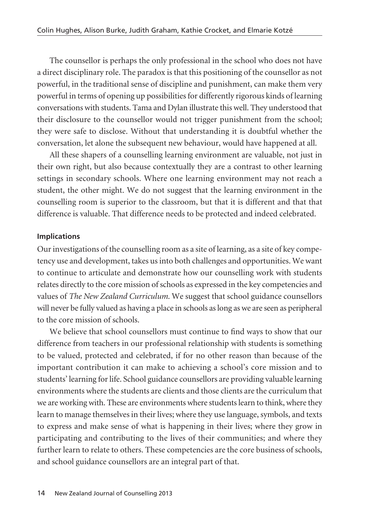The counsellor is perhaps the only professional in the school who does not have a direct disciplinary role. The paradox is that this positioning of the counsellor as not powerful, in the traditional sense of discipline and punishment, can make them very powerful in terms of opening up possibilities for differently rigorous kinds of learning conversations with students. Tama and Dylan illustrate this well. They understood that their disclosure to the counsellor would not trigger punishment from the school; they were safe to disclose. Without that understanding it is doubtful whether the conversation, let alone the subsequent new behaviour, would have happened at all.

All these shapers of a counselling learning environment are valuable, not just in their own right, but also because contextually they are a contrast to other learning settings in secondary schools. Where one learning environment may not reach a student, the other might. We do not suggest that the learning environment in the counselling room is superior to the classroom, but that it is different and that that difference is valuable. That difference needs to be protected and indeed celebrated.

### **Implications**

Our investigations of the counselling room as a site of learning, as a site of key compe tency use and development, takes us into both challenges and opportunities. We want to continue to articulate and demonstrate how our counselling work with students relates directly to the core mission of schools as expressed in the key competencies and values of *The New Zealand Curriculum*. We suggest that school guidance counsellors will never be fully valued as having a place in schools as long as we are seen as peripheral to the core mission of schools.

We believe that school counsellors must continue to find ways to show that our difference from teachers in our professional relationship with students is something to be valued, protected and celebrated, if for no other reason than because of the important contribution it can make to achieving a school's core mission and to students' learning for life. School guidance counsellors are providing valuable learning environments where the students are clients and those clients are the curriculum that we are working with. These are environments where students learn to think, where they learn to manage themselves in their lives; where they use language, symbols, and texts to express and make sense of what is happening in their lives; where they grow in participating and contributing to the lives of their communities; and where they further learn to relate to others. These competencies are the core business of schools, and school guidance counsellors are an integral part of that.